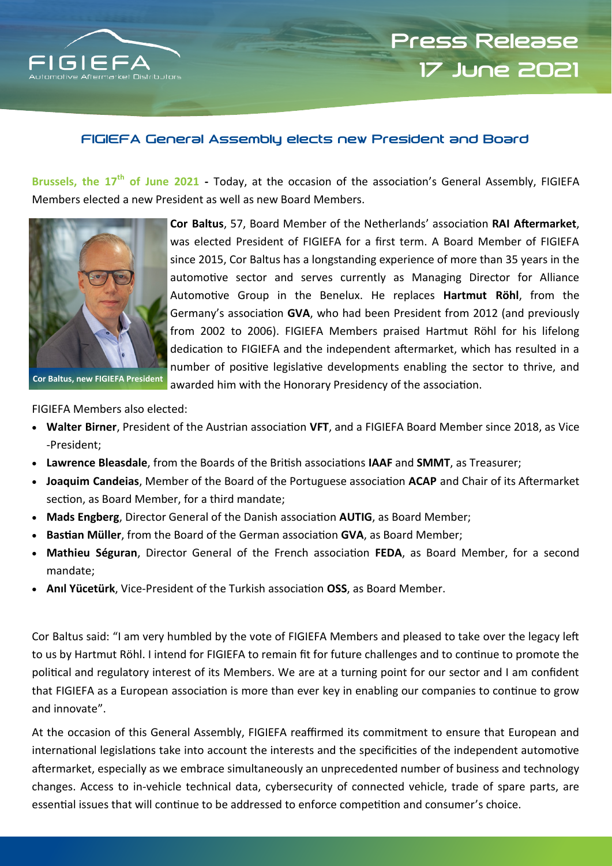

# **Press Release 17 June 2021**

## **FIGIEFA General Assembly elects new President and Board**

**Brussels, the 17th of June 2021 -** Today, at the occasion of the association's General Assembly, FIGIEFA Members elected a new President as well as new Board Members.



**Cor Baltus**, 57, Board Member of the Netherlands' association **RAI Aftermarket**, was elected President of FIGIEFA for a first term. A Board Member of FIGIEFA since 2015, Cor Baltus has a longstanding experience of more than 35 years in the automotive sector and serves currently as Managing Director for Alliance Automotive Group in the Benelux. He replaces **Hartmut Röhl**, from the Germany's association **GVA**, who had been President from 2012 (and previously from 2002 to 2006). FIGIEFA Members praised Hartmut Röhl for his lifelong dedication to FIGIEFA and the independent aftermarket, which has resulted in a number of positive legislative developments enabling the sector to thrive, and awarded him with the Honorary Presidency of the association.

FIGIEFA Members also elected:

- **Walter Birner**, President of the Austrian association **VFT**, and a FIGIEFA Board Member since 2018, as Vice -President;
- **Lawrence Bleasdale**, from the Boards of the British associations **IAAF** and **SMMT**, as Treasurer;
- **Joaquim Candeias**, Member of the Board of the Portuguese association **ACAP** and Chair of its Aftermarket section, as Board Member, for a third mandate;
- **Mads Engberg**, Director General of the Danish association **AUTIG**, as Board Member;
- **Bastian Müller**, from the Board of the German association **GVA**, as Board Member;
- **Mathieu Séguran**, Director General of the French association **FEDA**, as Board Member, for a second mandate;
- **Anıl Yücetürk**, Vice-President of the Turkish association **OSS**, as Board Member.

Cor Baltus said: "I am very humbled by the vote of FIGIEFA Members and pleased to take over the legacy left to us by Hartmut Röhl. I intend for FIGIEFA to remain fit for future challenges and to continue to promote the political and regulatory interest of its Members. We are at a turning point for our sector and I am confident that FIGIEFA as a European association is more than ever key in enabling our companies to continue to grow and innovate".

At the occasion of this General Assembly, FIGIEFA reaffirmed its commitment to ensure that European and international legislations take into account the interests and the specificities of the independent automotive aftermarket, especially as we embrace simultaneously an unprecedented number of business and technology changes. Access to in-vehicle technical data, cybersecurity of connected vehicle, trade of spare parts, are essential issues that will continue to be addressed to enforce competition and consumer's choice.